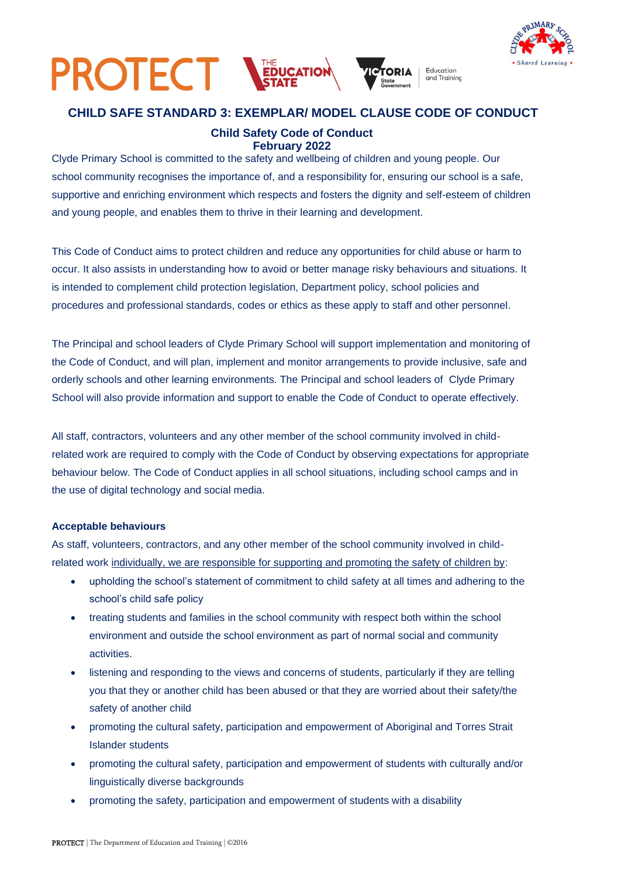



## **CHILD SAFE STANDARD 3: EXEMPLAR/ MODEL CLAUSE CODE OF CONDUCT**

## **Child Safety Code of Conduct February 2022**

Clyde Primary School is committed to the safety and wellbeing of children and young people. Our school community recognises the importance of, and a responsibility for, ensuring our school is a safe, supportive and enriching environment which respects and fosters the dignity and self-esteem of children and young people, and enables them to thrive in their learning and development.

This Code of Conduct aims to protect children and reduce any opportunities for child abuse or harm to occur. It also assists in understanding how to avoid or better manage risky behaviours and situations. It is intended to complement child protection legislation, Department policy, school policies and procedures and professional standards, codes or ethics as these apply to staff and other personnel.

The Principal and school leaders of Clyde Primary School will support implementation and monitoring of the Code of Conduct, and will plan, implement and monitor arrangements to provide inclusive, safe and orderly schools and other learning environments. The Principal and school leaders of Clyde Primary School will also provide information and support to enable the Code of Conduct to operate effectively.

All staff, contractors, volunteers and any other member of the school community involved in childrelated work are required to comply with the Code of Conduct by observing expectations for appropriate behaviour below. The Code of Conduct applies in all school situations, including school camps and in the use of digital technology and social media.

## **Acceptable behaviours**

As staff, volunteers, contractors, and any other member of the school community involved in childrelated work individually, we are responsible for supporting and promoting the safety of children by:

- upholding the school's statement of commitment to child safety at all times and adhering to the school's child safe policy
- treating students and families in the school community with respect both within the school environment and outside the school environment as part of normal social and community activities.
- listening and responding to the views and concerns of students, particularly if they are telling you that they or another child has been abused or that they are worried about their safety/the safety of another child
- promoting the cultural safety, participation and empowerment of Aboriginal and Torres Strait Islander students
- promoting the cultural safety, participation and empowerment of students with culturally and/or linguistically diverse backgrounds
- promoting the safety, participation and empowerment of students with a disability